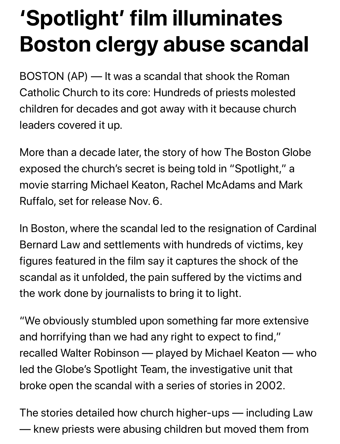## **'Spotlight' film illuminates Boston clergy abuse scandal**

BOSTON (AP) — It was a scandal that shook the Roman Catholic Church to its core: Hundreds of priests molested children for decades and got away with it because church leaders covered it up.

More than a decade later, the story of how The Boston Globe exposed the church's secret is being told in "Spotlight," a movie starring Michael Keaton, Rachel McAdams and Mark Ruffalo, set for release Nov. 6.

In Boston, where the scandal led to the resignation of Cardinal Bernard Law and settlements with hundreds of victims, key figures featured in the film say it captures the shock of the scandal as it unfolded, the pain suffered by the victims and the work done by journalists to bring it to light.

"We obviously stumbled upon something far more extensive and horrifying than we had any right to expect to find," recalled Walter Robinson — played by Michael Keaton — who led the Globe's Spotlight Team, the investigative unit that broke open the scandal with a series of stories in 2002.

The stories detailed how church higher-ups — including Law — knew priests were abusing children but moved them from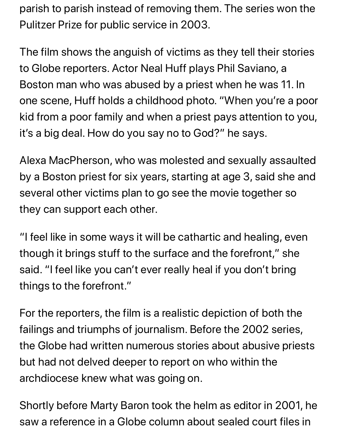parish to parish instead of removing them. The series won the Pulitzer Prize for public service in 2003.

The film shows the anguish of victims as they tell their stories to Globe reporters. Actor Neal Huff plays Phil Saviano, a Boston man who was abused by a priest when he was 11. In one scene, Huff holds a childhood photo. "When you're a poor kid from a poor family and when a priest pays attention to you, it's a big deal. How do you say no to God?" he says.

Alexa MacPherson, who was molested and sexually assaulted by a Boston priest for six years, starting at age 3, said she and several other victims plan to go see the movie together so they can support each other.

"I feel like in some ways it will be cathartic and healing, even though it brings stuff to the surface and the forefront," she said. "I feel like you can't ever really heal if you don't bring things to the forefront."

For the reporters, the film is a realistic depiction of both the failings and triumphs of journalism. Before the 2002 series, the Globe had written numerous stories about abusive priests but had not delved deeper to report on who within the archdiocese knew what was going on.

Shortly before Marty Baron took the helm as editor in 2001, he saw a reference in a Globe column about sealed court files in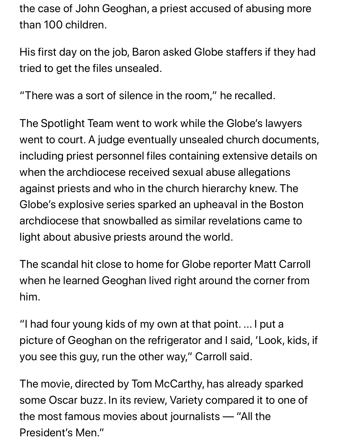the case of John Geoghan, a priest accused of abusing more than 100 children.

His first day on the job, Baron asked Globe staffers if they had tried to get the files unsealed.

"There was a sort of silence in the room," he recalled.

The Spotlight Team went to work while the Globe's lawyers went to court. A judge eventually unsealed church documents, including priest personnel files containing extensive details on when the archdiocese received sexual abuse allegations against priests and who in the church hierarchy knew. The Globe's explosive series sparked an upheaval in the Boston archdiocese that snowballed as similar revelations came to light about abusive priests around the world.

The scandal hit close to home for Globe reporter Matt Carroll when he learned Geoghan lived right around the corner from him.

"I had four young kids of my own at that point. ... I put a picture of Geoghan on the refrigerator and I said, 'Look, kids, if you see this guy, run the other way," Carroll said.

The movie, directed by Tom McCarthy, has already sparked some Oscar buzz. In its review, Variety compared it to one of the most famous movies about journalists — "All the President's Men."